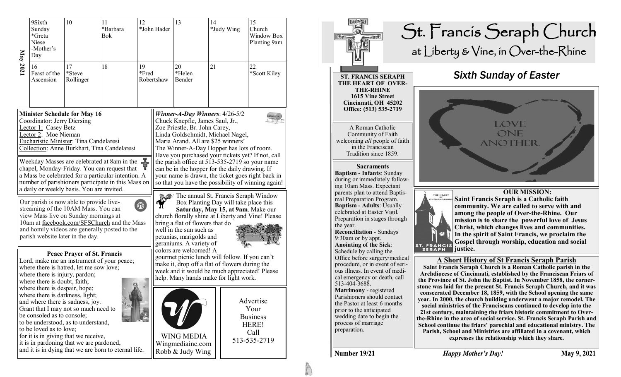| May 2021 | 9Sixth<br>Sunday<br>*Greta<br>Niese<br>-Mother's<br>Day                                                                                                                                     | 10                                                                                                                                                                                                                                                                                   | 12<br>11<br>*Barbara<br><b>Bok</b>                                                                                                                                                                                                                                                                                                                                                                                                                                                                                                                                                                                                                                                                                                                                                                                                                                                                                                                                                                                                                                                                                                                                                                                                                                                                                                                                                     |  | *John Hader | 13                                                                                                                                                                                                                                                                                                           | 14 | *Judy Wing | 15<br>Church<br>Window Box<br>Planting 9am                            |  |
|----------|---------------------------------------------------------------------------------------------------------------------------------------------------------------------------------------------|--------------------------------------------------------------------------------------------------------------------------------------------------------------------------------------------------------------------------------------------------------------------------------------|----------------------------------------------------------------------------------------------------------------------------------------------------------------------------------------------------------------------------------------------------------------------------------------------------------------------------------------------------------------------------------------------------------------------------------------------------------------------------------------------------------------------------------------------------------------------------------------------------------------------------------------------------------------------------------------------------------------------------------------------------------------------------------------------------------------------------------------------------------------------------------------------------------------------------------------------------------------------------------------------------------------------------------------------------------------------------------------------------------------------------------------------------------------------------------------------------------------------------------------------------------------------------------------------------------------------------------------------------------------------------------------|--|-------------|--------------------------------------------------------------------------------------------------------------------------------------------------------------------------------------------------------------------------------------------------------------------------------------------------------------|----|------------|-----------------------------------------------------------------------|--|
|          | 16<br>Feast of the<br>Ascension                                                                                                                                                             | 17<br>*Steve<br>Rollinger                                                                                                                                                                                                                                                            | 18<br>19<br>*Fred                                                                                                                                                                                                                                                                                                                                                                                                                                                                                                                                                                                                                                                                                                                                                                                                                                                                                                                                                                                                                                                                                                                                                                                                                                                                                                                                                                      |  | Robertshaw  | 20<br>*Helen<br>Bender                                                                                                                                                                                                                                                                                       | 21 |            | 22<br>*Scott Kiley                                                    |  |
|          | Coordinator: Jerry Diersing<br>Lector 1: Casey Betz<br>Lector 2: Moe Nieman                                                                                                                 | <b>Minister Schedule for May 16</b><br>parish website later in the day.                                                                                                                                                                                                              | Winner-A-Day Winners: $4/26-5/2$<br>Chuck Knepfle, James Saul, Jr.,<br>Zoe Priestle, Br. John Carey,<br>Linda Goldschmidt, Michael Nagel,<br>Eucharistic Minister: Tina Candelaresi<br>Maria Arand. All are \$25 winners!<br>Collection: Anne Burkhart, Tina Candelaresi<br>The Winner-A-Day Hopper has lots of room.<br>Have you purchased your tickets yet? If not, call<br>Weekday Masses are celebrated at 8am in the $\frac{1}{\sqrt{2}}$<br>the parish office at 513-535-2719 so your name<br>chapel, Monday-Friday. You can request that<br>can be in the hopper for the daily drawing. If<br>a Mass be celebrated for a particular intention. A<br>your name is drawn, the ticket goes right back in<br>number of parishioners participate in this Mass on<br>so that you have the possibility of winning again!<br>a daily or weekly basis. You are invited.<br>The annual St. Francis Seraph Window<br>Our parish is now able to provide live-<br>Box Planting Day will take place this<br>$^{\circledR}$<br>streaming of the 10AM Mass. You can<br>Saturday, May 15, at 9am. Make our<br>view Mass live on Sunday mornings at<br>church florally shine at Liberty and Vine! Please<br>10am at facebook.com/SFSChurch and the Mass<br>bring a flat of flowers that do<br>and homily videos are generally posted to the<br>well in the sun such as<br>petunias, marigolds and |  |             |                                                                                                                                                                                                                                                                                                              |    |            |                                                                       |  |
|          | where there is injury, pardon;<br>where there is doubt, faith;<br>where there is despair, hope;<br>where there is darkness, light;<br>be consoled as to console;<br>to be loved as to love; | <b>Peace Prayer of St. Francis</b><br>where there is hatred, let me sow love;<br>and where there is sadness, joy.<br>Grant that I may not so much need to<br>to be understood, as to understand,<br>for it is in giving that we receive,<br>it is in pardoning that we are pardoned, | Lord, make me an instrument of your peace;<br>and it is in dying that we are born to eternal life.                                                                                                                                                                                                                                                                                                                                                                                                                                                                                                                                                                                                                                                                                                                                                                                                                                                                                                                                                                                                                                                                                                                                                                                                                                                                                     |  |             | geraniums. A variety of<br>colors are welcomed! A<br>gourmet picnic lunch will follow. If you can't<br>make it, drop off a flat of flowers during the<br>week and it would be much appreciated! Please<br>help. Many hands make for light work.<br><b>WING MEDIA</b><br>Wingmediainc.com<br>Robb & Judy Wing |    |            | Advertise<br>Your<br><b>Business</b><br>HERE!<br>Call<br>513-535-2719 |  |